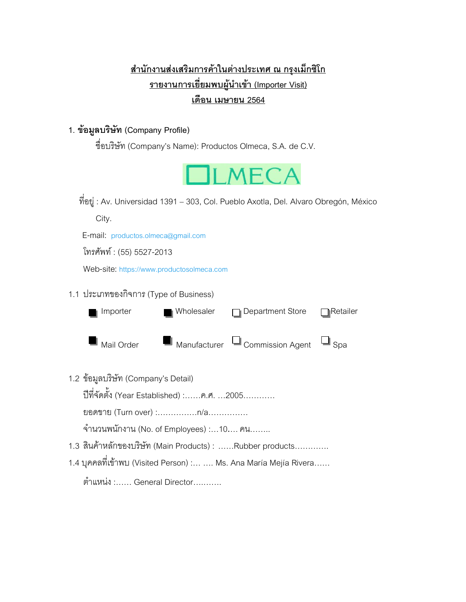# **ส ำนักงำนส่งเสริมกำรค้ำในต่ำงประเทศ ณ กรุงเม็กซิโก** <u>รายงานการเยี่ยมพบผู้นำเข้า (Importer Visit)</u> **เดือน เมษำยน 2564**

### **1. ข้อมูลบริษัท (Company Profile)**

ชื่อบริษัท (Company's Name): Productos Olmeca, S.A. de C.V.



ที่อยู่ : Av. Universidad 1391 – 303, Col. Pueblo Axotla, Del. Alvaro Obregón, México

City.

E-mail: [productos.olmeca@gmail.com](mailto:productos.olmeca@gmail.com)

โทรศัพท์ : (55) 5527-2013

Web-site: [https://www.productosolmeca.com](https://www.productosolmeca.com/)

#### 1.1 ประเภทของกิจการ (Type of Business)

| Importer                | ■ Wholesaler | $\Box$ Department Store                                | $\bigcap$ Retailer |
|-------------------------|--------------|--------------------------------------------------------|--------------------|
|                         |              | ■ Mail Order   ■ Manufacturer □ Commission Agent □ Spa |                    |
| $\sim$<br>$\sim$ $\sim$ |              |                                                        |                    |

1.2 ข้อมูลบริษัท (Company's Detail)

ปีที่จัดตั้ง (Year Established) :……ค.ศ. …2005…………

ยอดขาย (Turn over) :……………n/a……………

จำนวนพนักงาน (No. of Employees) :...10.... คน........

- 1.3 สินค้าหลักของบริษัท (Main Products) : ……Rubber products………….
- 1.4 บุคคลที่เข้าพบ (Visited Person) :… …. Ms. Ana María Mejía Rivera……

ต าแหน่ง :…… General Director….…….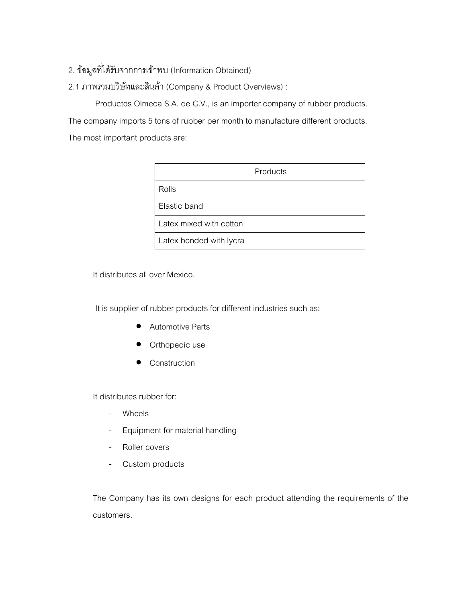## 2. ข้อมูลที่ได้รับจากการเข้าพบ (Information Obtained)

### 2.1 ภาพรวมบริษัทและสินค้า (Company & Product Overviews) :

Productos Olmeca S.A. de C.V., is an importer company of rubber products. The company imports 5 tons of rubber per month to manufacture different products. The most important products are:

| Products                |  |
|-------------------------|--|
| Rolls                   |  |
| Flastic band            |  |
| Latex mixed with cotton |  |
| Latex bonded with lycra |  |

It distributes all over Mexico.

It is supplier of rubber products for different industries such as:

- Automotive Parts
- Orthopedic use
- Construction

It distributes rubber for:

- Wheels
- Equipment for material handling
- Roller covers
- Custom products

The Company has its own designs for each product attending the requirements of the customers.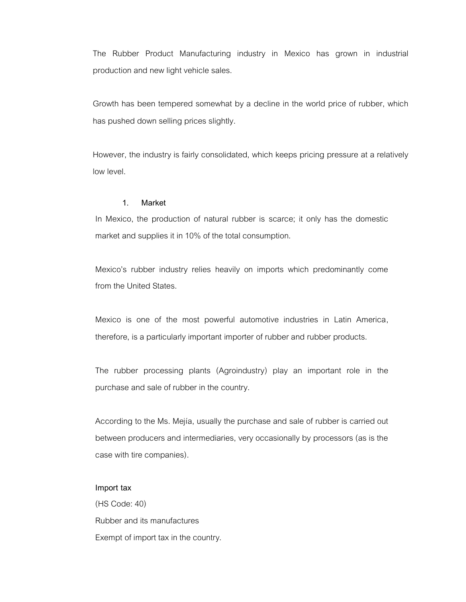The Rubber Product Manufacturing industry in Mexico has grown in industrial production and new light vehicle sales.

Growth has been tempered somewhat by a decline in the world price of rubber, which has pushed down selling prices slightly.

However, the industry is fairly consolidated, which keeps pricing pressure at a relatively low level.

#### **1. Market**

In Mexico, the production of natural rubber is scarce; it only has the domestic market and supplies it in 10% of the total consumption.

Mexico's rubber industry relies heavily on imports which predominantly come from the United States.

Mexico is one of the most powerful automotive industries in Latin America, therefore, is a particularly important importer of rubber and rubber products.

The rubber processing plants (Agroindustry) play an important role in the purchase and sale of rubber in the country.

According to the Ms. Mejía, usually the purchase and sale of rubber is carried out between producers and intermediaries, very occasionally by processors (as is the case with tire companies).

#### **Import tax**

(HS Code: 40) Rubber and its manufactures Exempt of import tax in the country.